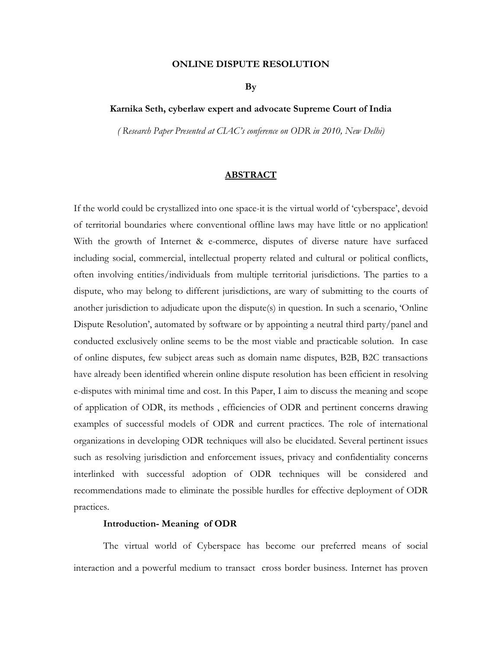#### **ONLINE DISPUTE RESOLUTION**

**By** 

# **Karnika Seth, cyberlaw expert and advocate Supreme Court of India**

*( Research Paper Presented at CIAC's conference on ODR in 2010, New Delhi)*

## **ABSTRACT**

If the world could be crystallized into one space-it is the virtual world of 'cyberspace', devoid of territorial boundaries where conventional offline laws may have little or no application! With the growth of Internet & e-commerce, disputes of diverse nature have surfaced including social, commercial, intellectual property related and cultural or political conflicts, often involving entities/individuals from multiple territorial jurisdictions. The parties to a dispute, who may belong to different jurisdictions, are wary of submitting to the courts of another jurisdiction to adjudicate upon the dispute(s) in question. In such a scenario, 'Online Dispute Resolution', automated by software or by appointing a neutral third party/panel and conducted exclusively online seems to be the most viable and practicable solution. In case of online disputes, few subject areas such as domain name disputes, B2B, B2C transactions have already been identified wherein online dispute resolution has been efficient in resolving e-disputes with minimal time and cost. In this Paper, I aim to discuss the meaning and scope of application of ODR, its methods , efficiencies of ODR and pertinent concerns drawing examples of successful models of ODR and current practices. The role of international organizations in developing ODR techniques will also be elucidated. Several pertinent issues such as resolving jurisdiction and enforcement issues, privacy and confidentiality concerns interlinked with successful adoption of ODR techniques will be considered and recommendations made to eliminate the possible hurdles for effective deployment of ODR practices.

### **Introduction- Meaning of ODR**

The virtual world of Cyberspace has become our preferred means of social interaction and a powerful medium to transact cross border business. Internet has proven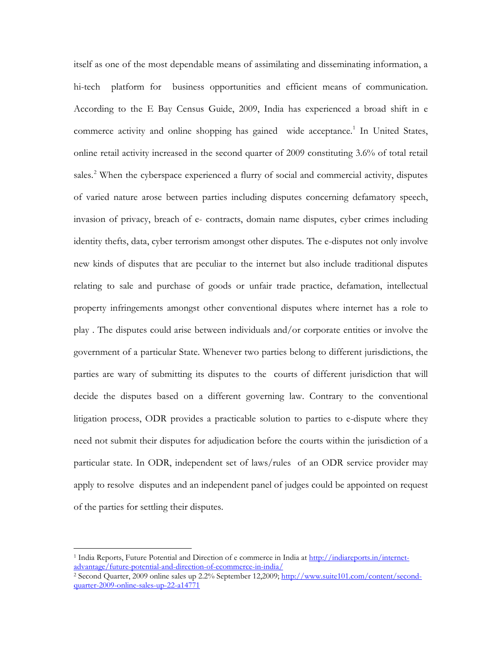itself as one of the most dependable means of assimilating and disseminating information, a hi-tech platform for business opportunities and efficient means of communication. According to the E Bay Census Guide, 2009, India has experienced a broad shift in e commerce activity and online shopping has gained wide acceptance. [1](#page-1-0) In United States, online retail activity increased in the second quarter of 2009 constituting 3.6% of total retail sales.<sup>[2](#page-1-1)</sup> When the cyberspace experienced a flurry of social and commercial activity, disputes of varied nature arose between parties including disputes concerning defamatory speech, invasion of privacy, breach of e- contracts, domain name disputes, cyber crimes including identity thefts, data, cyber terrorism amongst other disputes. The e-disputes not only involve new kinds of disputes that are peculiar to the internet but also include traditional disputes relating to sale and purchase of goods or unfair trade practice, defamation, intellectual property infringements amongst other conventional disputes where internet has a role to play . The disputes could arise between individuals and/or corporate entities or involve the government of a particular State. Whenever two parties belong to different jurisdictions, the parties are wary of submitting its disputes to the courts of different jurisdiction that will decide the disputes based on a different governing law. Contrary to the conventional litigation process, ODR provides a practicable solution to parties to e-dispute where they need not submit their disputes for adjudication before the courts within the jurisdiction of a particular state. In ODR, independent set of laws/rules of an ODR service provider may apply to resolve disputes and an independent panel of judges could be appointed on request of the parties for settling their disputes.

<span id="page-1-0"></span><sup>&</sup>lt;sup>1</sup> India Reports, Future Potential and Direction of e commerce in India at [http://indiareports.in/internet](http://indiareports.in/internet-advantage/future-potential-and-direction-of-ecommerce-in-india/)[advantage/future-potential-and-direction-of-ecommerce-in-india/](http://indiareports.in/internet-advantage/future-potential-and-direction-of-ecommerce-in-india/)

<span id="page-1-1"></span><sup>&</sup>lt;sup>2</sup> Second Quarter, 2009 online sales up 2.2% September 12,2009; [http://www.suite101.com/content/second](http://www.suite101.com/content/second-quarter-2009-online-sales-up-22-a14771)[quarter-2009-online-sales-up-22-a14771](http://www.suite101.com/content/second-quarter-2009-online-sales-up-22-a14771)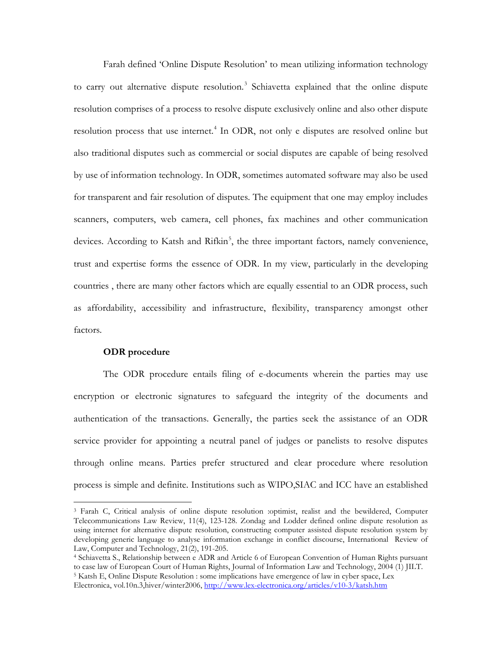Farah defined 'Online Dispute Resolution' to mean utilizing information technology to carry out alternative dispute resolution.<sup>[3](#page-2-0)</sup> Schiavetta explained that the online dispute resolution comprises of a process to resolve dispute exclusively online and also other dispute resolution process that use internet. [4](#page-2-1) In ODR, not only e disputes are resolved online but also traditional disputes such as commercial or social disputes are capable of being resolved by use of information technology. In ODR, sometimes automated software may also be used for transparent and fair resolution of disputes. The equipment that one may employ includes scanners, computers, web camera, cell phones, fax machines and other communication devices. According to Katsh and Rifkin<sup>[5](#page-2-2)</sup>, the three important factors, namely convenience, trust and expertise forms the essence of ODR. In my view, particularly in the developing countries , there are many other factors which are equally essential to an ODR process, such as affordability, accessibility and infrastructure, flexibility, transparency amongst other factors.

#### **ODR procedure**

 $\overline{a}$ 

The ODR procedure entails filing of e-documents wherein the parties may use encryption or electronic signatures to safeguard the integrity of the documents and authentication of the transactions. Generally, the parties seek the assistance of an ODR service provider for appointing a neutral panel of judges or panelists to resolve disputes through online means. Parties prefer structured and clear procedure where resolution process is simple and definite. Institutions such as WIPO,SIAC and ICC have an established

<span id="page-2-0"></span><sup>3</sup> Farah C, Critical analysis of online dispute resolution :optimist, realist and the bewildered, Computer Telecommunications Law Review, 11(4), 123-128. Zondag and Lodder defined online dispute resolution as using internet for alternative dispute resolution, constructing computer assisted dispute resolution system by developing generic language to analyse information exchange in conflict discourse, International Review of Law, Computer and Technology, 21(2), 191-205.<br><sup>4</sup> Schiavetta S., Relationship between e ADR and Article 6 of European Convention of Human Rights pursuant

<span id="page-2-1"></span>to case law of European Court of Human Rights, Journal of Information Law and Technology, 2004 (1) JILT.<br><sup>5</sup> Katsh E, Online Dispute Resolution : some implications have emergence of law in cyber space, Lex

<span id="page-2-2"></span>Electronica, vol.10n.3,hiver/winter2006,<http://www.lex-electronica.org/articles/v10-3/katsh.htm>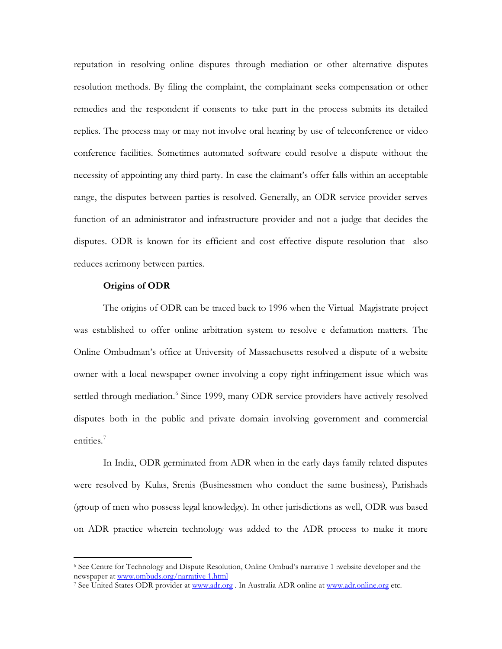reputation in resolving online disputes through mediation or other alternative disputes resolution methods. By filing the complaint, the complainant seeks compensation or other remedies and the respondent if consents to take part in the process submits its detailed replies. The process may or may not involve oral hearing by use of teleconference or video conference facilities. Sometimes automated software could resolve a dispute without the necessity of appointing any third party. In case the claimant's offer falls within an acceptable range, the disputes between parties is resolved. Generally, an ODR service provider serves function of an administrator and infrastructure provider and not a judge that decides the disputes. ODR is known for its efficient and cost effective dispute resolution that also reduces acrimony between parties.

### **Origins of ODR**

 $\overline{a}$ 

The origins of ODR can be traced back to 1996 when the Virtual Magistrate project was established to offer online arbitration system to resolve e defamation matters. The Online Ombudman's office at University of Massachusetts resolved a dispute of a website owner with a local newspaper owner involving a copy right infringement issue which was settled through mediation.<sup>[6](#page-3-0)</sup> Since 1999, many ODR service providers have actively resolved disputes both in the public and private domain involving government and commercial entities.<sup>[7](#page-3-1)</sup>

In India, ODR germinated from ADR when in the early days family related disputes were resolved by Kulas, Srenis (Businessmen who conduct the same business), Parishads (group of men who possess legal knowledge). In other jurisdictions as well, ODR was based on ADR practice wherein technology was added to the ADR process to make it more

<span id="page-3-0"></span> $6$  See Centre for Technology and Dispute Resolution, Online Ombud's narrative 1 :website developer and the newspaper at  $\underline{\text{www.ombuds.org/narrative 1.html}}$ 

<span id="page-3-1"></span><sup>&</sup>lt;sup>7</sup> See United States ODR provider at [www.adr.org](http://www.adr.org/). In Australia ADR online at [www.adr.online.org](http://www.adr.online.org/) etc.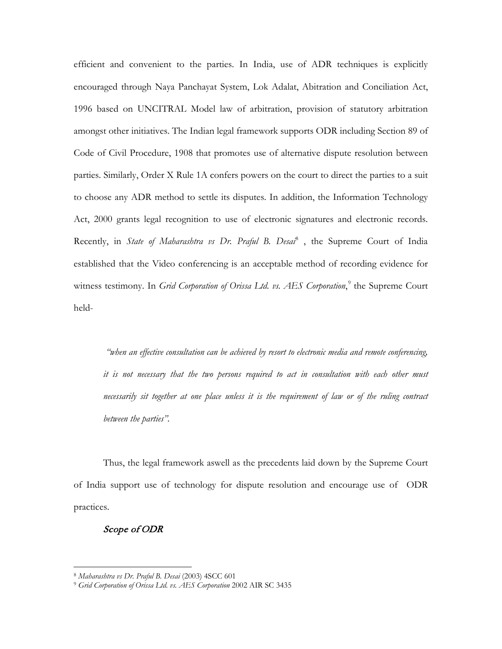efficient and convenient to the parties. In India, use of ADR techniques is explicitly encouraged through Naya Panchayat System, Lok Adalat, Abitration and Conciliation Act, 1996 based on UNCITRAL Model law of arbitration, provision of statutory arbitration amongst other initiatives. The Indian legal framework supports ODR including Section 89 of Code of Civil Procedure, 1908 that promotes use of alternative dispute resolution between parties. Similarly, Order X Rule 1A confers powers on the court to direct the parties to a suit to choose any ADR method to settle its disputes. In addition, the Information Technology Act, 2000 grants legal recognition to use of electronic signatures and electronic records. Recently, in *State of Maharashtra vs Dr. Praful B. Desai*<sup>[8](#page-4-0)</sup>, the Supreme Court of India established that the Video conferencing is an acceptable method of recording evidence for witness testimony. In *Grid Corporation of Orissa Ltd. vs. AES Corporation*,<sup>[9](#page-4-1)</sup> the Supreme Court held-

*"when an effective consultation can be achieved by resort to electronic media and remote conferencing, it is not necessary that the two persons required to act in consultation with each other must necessarily sit together at one place unless it is the requirement of law or of the ruling contract between the parties".* 

Thus, the legal framework aswell as the precedents laid down by the Supreme Court of India support use of technology for dispute resolution and encourage use of ODR practices.

# Scope of ODR

<span id="page-4-1"></span><span id="page-4-0"></span><sup>8</sup> *Maharashtra vs Dr. Praful B. Desai* (2003) 4SCC 601

<sup>9</sup> *Grid Corporation of Orissa Ltd. vs. AES Corporation* 2002 AIR SC 3435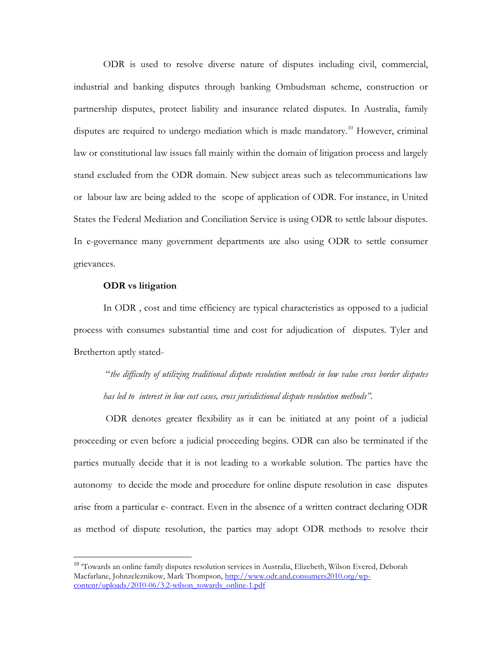ODR is used to resolve diverse nature of disputes including civil, commercial, industrial and banking disputes through banking Ombudsman scheme, construction or partnership disputes, protect liability and insurance related disputes. In Australia, family disputes are required to undergo mediation which is made mandatory.<sup>10</sup> However, criminal law or constitutional law issues fall mainly within the domain of litigation process and largely stand excluded from the ODR domain. New subject areas such as telecommunications law or labour law are being added to the scope of application of ODR. For instance, in United States the Federal Mediation and Conciliation Service is using ODR to settle labour disputes. In e-governance many government departments are also using ODR to settle consumer grievances.

## **ODR vs litigation**

In ODR , cost and time efficiency are typical characteristics as opposed to a judicial process with consumes substantial time and cost for adjudication of disputes. Tyler and Bretherton aptly stated-

"*the difficulty of utilizing traditional dispute resolution methods in low value cross border disputes has led to interest in low cost cases, cross jurisdictional dispute resolution methods".*

ODR denotes greater flexibility as it can be initiated at any point of a judicial proceeding or even before a judicial proceeding begins. ODR can also be terminated if the parties mutually decide that it is not leading to a workable solution. The parties have the autonomy to decide the mode and procedure for online dispute resolution in case disputes arise from a particular e- contract. Even in the absence of a written contract declaring ODR as method of dispute resolution, the parties may adopt ODR methods to resolve their

<span id="page-5-0"></span><sup>&</sup>lt;sup>10</sup> 'Towards an online family disputes resolution services in Australia, Elizebeth, Wilson Evered, Deborah Macfarlane, Johnzeleznikow, Mark Thompson, [http://www.odr.and.consumers2010.org/wp](http://www.odr.and.consumers2010.org/wp-content/uploads/2010-06/3.2-wilson_towards_online-1.pdf)[content/uploads/2010-06/3.2-wilson\\_towards\\_online-1.pdf](http://www.odr.and.consumers2010.org/wp-content/uploads/2010-06/3.2-wilson_towards_online-1.pdf)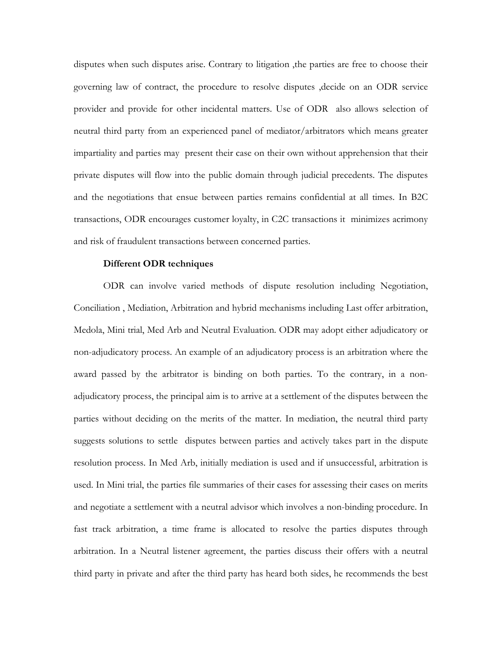disputes when such disputes arise. Contrary to litigation ,the parties are free to choose their governing law of contract, the procedure to resolve disputes ,decide on an ODR service provider and provide for other incidental matters. Use of ODR also allows selection of neutral third party from an experienced panel of mediator/arbitrators which means greater impartiality and parties may present their case on their own without apprehension that their private disputes will flow into the public domain through judicial precedents. The disputes and the negotiations that ensue between parties remains confidential at all times. In B2C transactions, ODR encourages customer loyalty, in C2C transactions it minimizes acrimony and risk of fraudulent transactions between concerned parties.

### **Different ODR techniques**

ODR can involve varied methods of dispute resolution including Negotiation, Conciliation , Mediation, Arbitration and hybrid mechanisms including Last offer arbitration, Medola, Mini trial, Med Arb and Neutral Evaluation. ODR may adopt either adjudicatory or non-adjudicatory process. An example of an adjudicatory process is an arbitration where the award passed by the arbitrator is binding on both parties. To the contrary, in a nonadjudicatory process, the principal aim is to arrive at a settlement of the disputes between the parties without deciding on the merits of the matter. In mediation, the neutral third party suggests solutions to settle disputes between parties and actively takes part in the dispute resolution process. In Med Arb, initially mediation is used and if unsuccessful, arbitration is used. In Mini trial, the parties file summaries of their cases for assessing their cases on merits and negotiate a settlement with a neutral advisor which involves a non-binding procedure. In fast track arbitration, a time frame is allocated to resolve the parties disputes through arbitration. In a Neutral listener agreement, the parties discuss their offers with a neutral third party in private and after the third party has heard both sides, he recommends the best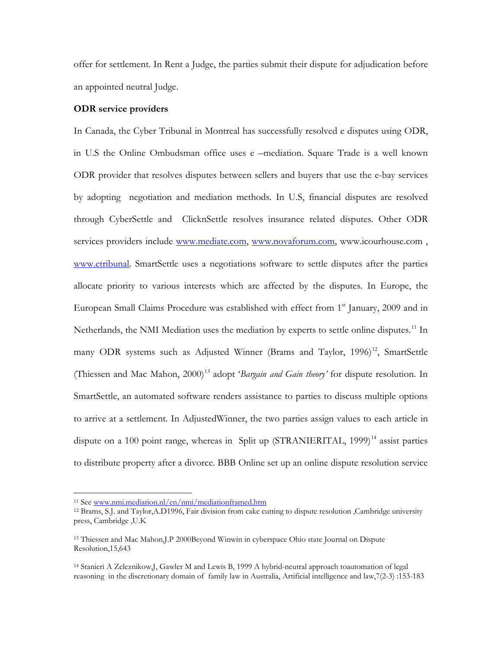offer for settlement. In Rent a Judge, the parties submit their dispute for adjudication before an appointed neutral Judge.

# **ODR service providers**

In Canada, the Cyber Tribunal in Montreal has successfully resolved e disputes using ODR, in U.S the Online Ombudsman office uses e –mediation. Square Trade is a well known ODR provider that resolves disputes between sellers and buyers that use the e-bay services by adopting negotiation and mediation methods. In U.S, financial disputes are resolved through CyberSettle and ClicknSettle resolves insurance related disputes. Other ODR services providers include [www.mediate.com,](http://www.mediate.com/) [www.novaforum.com,](http://www.novaforum.com/) www.icourhouse.com, [www.etribunal.](http://www.etribunal/) SmartSettle uses a negotiations software to settle disputes after the parties allocate priority to various interests which are affected by the disputes. In Europe, the European Small Claims Procedure was established with effect from  $1<sup>st</sup>$  January, 2009 and in Netherlands, the NMI Mediation uses the mediation by experts to settle online disputes.<sup>[11](#page-7-0)</sup> In many ODR systems such as Adjusted Winner (Brams and Taylor, 1996)<sup>[12](#page-7-1)</sup>, SmartSettle (Thiessen and Mac Mahon, 2000) [13](#page-7-2) adopt '*Bargain and Gain theory'* for dispute resolution. In SmartSettle, an automated software renders assistance to parties to discuss multiple options to arrive at a settlement. In AdjustedWinner, the two parties assign values to each article in dispute on a 100 point range, whereas in Split up (STRANIERITAL, 1999)<sup>[14](#page-7-3)</sup> assist parties to distribute property after a divorce. BBB Online set up an online dispute resolution service

<sup>&</sup>lt;sup>11</sup> See [www.nmi.mediation.nl/en/nmi/mediationframed.htm](http://www.nmi.mediation.nl/en/nmi/mediationframed.htm)

<span id="page-7-1"></span><span id="page-7-0"></span><sup>12</sup> Brams, S.J. and Taylor,A.D1996, Fair division from cake cutting to dispute resolution ,Cambridge university press, Cambridge ,U.K

<span id="page-7-2"></span><sup>13</sup> Thiessen and Mac Mahon,J.P 2000Beyond Winwin in cyberspace Ohio state Journal on Dispute Resolution,15,643

<span id="page-7-3"></span><sup>14</sup> Stanieri A Zeleznikow,J, Gawler M and Lewis B, 1999 A hybrid-neutral approach toautomation of legal reasoning in the discretionary domain of family law in Australia, Artificial intelligence and law,7(2-3) :153-183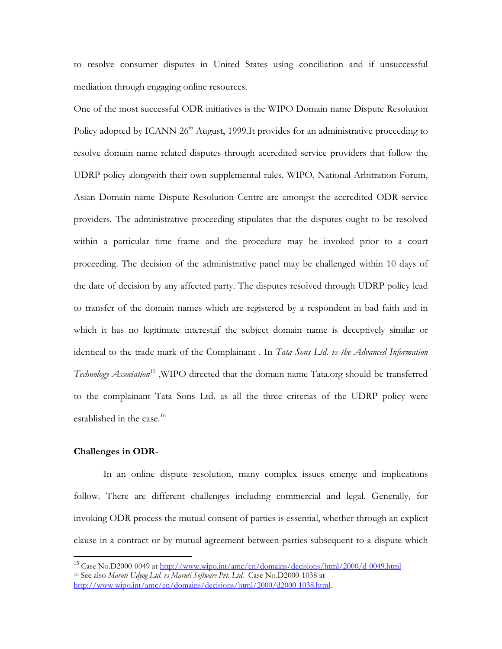to resolve consumer disputes in United States using conciliation and if unsuccessful mediation through engaging online resources.

One of the most successful ODR initiatives is the WIPO Domain name Dispute Resolution Policy adopted by ICANN  $26<sup>th</sup>$  August, 1999.It provides for an administrative proceeding to resolve domain name related disputes through accredited service providers that follow the UDRP policy alongwith their own supplemental rules. WIPO, National Arbitration Forum, Asian Domain name Dispute Resolution Centre are amongst the accredited ODR service providers. The administrative proceeding stipulates that the disputes ought to be resolved within a particular time frame and the procedure may be invoked prior to a court proceeding. The decision of the administrative panel may be challenged within 10 days of the date of decision by any affected party. The disputes resolved through UDRP policy lead to transfer of the domain names which are registered by a respondent in bad faith and in which it has no legitimate interest,if the subject domain name is deceptively similar or identical to the trade mark of the Complainant . In *Tata Sons Ltd. vs the Advanced Information Technology Association*[15](#page-8-0) ,WIPO directed that the domain name Tata.org should be transferred to the complainant Tata Sons Ltd. as all the three criterias of the UDRP policy were established in the case.<sup>[16](#page-8-1)</sup>

#### **Challenges in ODR**-

In an online dispute resolution, many complex issues emerge and implications follow. There are different challenges including commercial and legal. Generally, for invoking ODR process the mutual consent of parties is essential, whether through an explicit clause in a contract or by mutual agreement between parties subsequent to a dispute which

<span id="page-8-1"></span><span id="page-8-0"></span><sup>&</sup>lt;sup>15</sup> Case No.D2000-0049 at<http://www.wipo.int/amc/en/domains/decisions/html/2000/d-0049.html> <sup>16</sup> See also *Maruti Udyog Ltd. vs Maruti Software Pvt. Ltd*. Case No.D2000-1038 at <http://www.wipo.int/amc/en/domains/decisions/html/2000/d2000-1038.html>.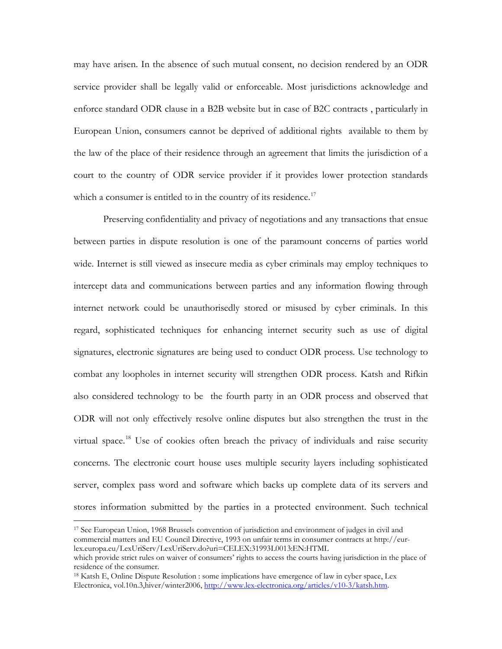may have arisen. In the absence of such mutual consent, no decision rendered by an ODR service provider shall be legally valid or enforceable. Most jurisdictions acknowledge and enforce standard ODR clause in a B2B website but in case of B2C contracts , particularly in European Union, consumers cannot be deprived of additional rights available to them by the law of the place of their residence through an agreement that limits the jurisdiction of a court to the country of ODR service provider if it provides lower protection standards which a consumer is entitled to in the country of its residence.<sup>[17](#page-9-0)</sup>

Preserving confidentiality and privacy of negotiations and any transactions that ensue between parties in dispute resolution is one of the paramount concerns of parties world wide. Internet is still viewed as insecure media as cyber criminals may employ techniques to intercept data and communications between parties and any information flowing through internet network could be unauthorisedly stored or misused by cyber criminals. In this regard, sophisticated techniques for enhancing internet security such as use of digital signatures, electronic signatures are being used to conduct ODR process. Use technology to combat any loopholes in internet security will strengthen ODR process. Katsh and Rifkin also considered technology to be the fourth party in an ODR process and observed that ODR will not only effectively resolve online disputes but also strengthen the trust in the virtual space.<sup>[18](#page-9-1)</sup> Use of cookies often breach the privacy of individuals and raise security concerns. The electronic court house uses multiple security layers including sophisticated server, complex pass word and software which backs up complete data of its servers and stores information submitted by the parties in a protected environment. Such technical

<span id="page-9-0"></span><sup>17</sup> See European Union, 1968 Brussels convention of jurisdiction and environment of judges in civil and commercial matters and EU Council Directive, 1993 on unfair terms in consumer contracts at http://eurlex.europa.eu/LexUriServ/LexUriServ.do?uri=CELEX:31993L0013:EN:HTML

which provide strict rules on waiver of consumers' rights to access the courts having jurisdiction in the place of residence of the consumer.

<span id="page-9-1"></span><sup>18</sup> Katsh E, Online Dispute Resolution : some implications have emergence of law in cyber space, Lex Electronica, vol.10n.3,hiver/winter2006, [http://www.lex-electronica.org/articles/v10-3/katsh.htm.](http://www.lex-electronica.org/articles/v10-3/katsh.htm)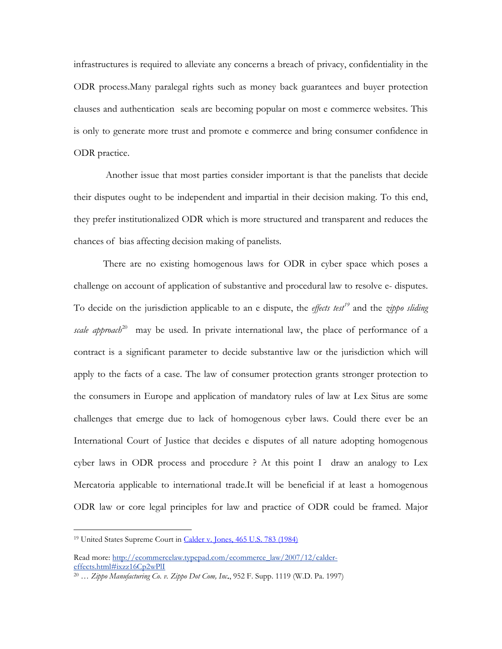infrastructures is required to alleviate any concerns a breach of privacy, confidentiality in the ODR process.Many paralegal rights such as money back guarantees and buyer protection clauses and authentication seals are becoming popular on most e commerce websites. This is only to generate more trust and promote e commerce and bring consumer confidence in ODR practice.

Another issue that most parties consider important is that the panelists that decide their disputes ought to be independent and impartial in their decision making. To this end, they prefer institutionalized ODR which is more structured and transparent and reduces the chances of bias affecting decision making of panelists.

There are no existing homogenous laws for ODR in cyber space which poses a challenge on account of application of substantive and procedural law to resolve e- disputes. To decide on the jurisdiction applicable to an e dispute, the *effects test[19](#page-10-0)* and the *zippo sliding*  scale approach<sup>[20](#page-10-1)</sup> may be used. In private international law, the place of performance of a contract is a significant parameter to decide substantive law or the jurisdiction which will apply to the facts of a case. The law of consumer protection grants stronger protection to the consumers in Europe and application of mandatory rules of law at Lex Situs are some challenges that emerge due to lack of homogenous cyber laws. Could there ever be an International Court of Justice that decides e disputes of all nature adopting homogenous cyber laws in ODR process and procedure ? At this point I draw an analogy to Lex Mercatoria applicable to international trade.It will be beneficial if at least a homogenous ODR law or core legal principles for law and practice of ODR could be framed. Major

<span id="page-10-0"></span><sup>&</sup>lt;sup>19</sup> United States Supreme Court in **[Calder v. Jones, 465 U.S. 783 \(1984\)](http://caselaw.lp.findlaw.com/scripts/getcase.pl?navby=search&court=US&case=/us/465/783.html)** 

Read more: [http://ecommercelaw.typepad.com/ecommerce\\_law/2007/12/calder](http://ecommercelaw.typepad.com/ecommerce_law/2007/12/calder-effects.html#ixzz16Cp2wPlI)[effects.html#ixzz16Cp2wPlI](http://ecommercelaw.typepad.com/ecommerce_law/2007/12/calder-effects.html#ixzz16Cp2wPlI)

<span id="page-10-1"></span><sup>20</sup> … *Zippo Manufacturing Co. v. Zippo Dot Com, Inc*., 952 F. Supp. 1119 (W.D. Pa. 1997)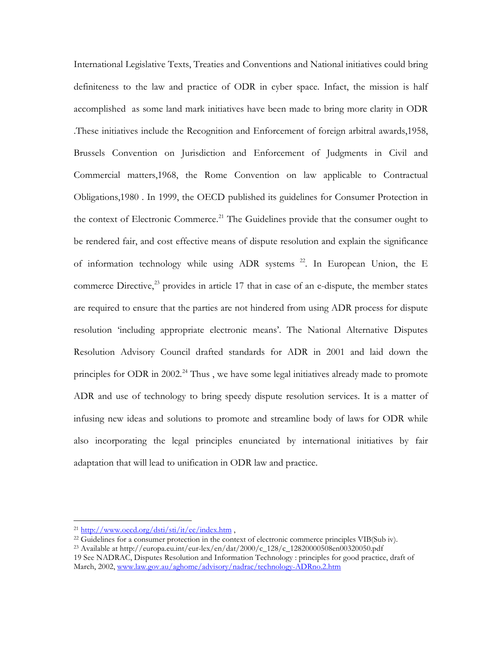International Legislative Texts, Treaties and Conventions and National initiatives could bring definiteness to the law and practice of ODR in cyber space. Infact, the mission is half accomplished as some land mark initiatives have been made to bring more clarity in ODR .These initiatives include the Recognition and Enforcement of foreign arbitral awards,1958, Brussels Convention on Jurisdiction and Enforcement of Judgments in Civil and Commercial matters,1968, the Rome Convention on law applicable to Contractual Obligations,1980 . In 1999, the OECD published its guidelines for Consumer Protection in the context of Electronic Commerce.<sup>[21](#page-11-0)</sup> The Guidelines provide that the consumer ought to be rendered fair, and cost effective means of dispute resolution and explain the significance of information technology while using ADR systems  $22$ . In European Union, the E commerce Directive, $^{23}$  $^{23}$  $^{23}$  provides in article 17 that in case of an e-dispute, the member states are required to ensure that the parties are not hindered from using ADR process for dispute resolution 'including appropriate electronic means'. The National Alternative Disputes Resolution Advisory Council drafted standards for ADR in 2001 and laid down the principles for ODR in 2002.<sup>[24](#page-11-3)</sup> Thus, we have some legal initiatives already made to promote ADR and use of technology to bring speedy dispute resolution services. It is a matter of infusing new ideas and solutions to promote and streamline body of laws for ODR while also incorporating the legal principles enunciated by international initiatives by fair adaptation that will lead to unification in ODR law and practice.

21 <http://www.oecd.org/dsti/sti/it/ec/index.htm> ,

<span id="page-11-0"></span> $^{22}$  Guidelines for a consumer protection in the context of electronic commerce principles VIB(Sub iv).

<span id="page-11-2"></span><span id="page-11-1"></span><sup>23</sup> Available at http://europa.eu.int/eur-lex/en/dat/2000/c\_128/c\_12820000508en00320050.pdf 19 See NADRAC, Disputes Resolution and Information Technology : principles for good practice, draft of

<span id="page-11-3"></span>March, 2002, [www.law.gov.au/aghome/advisory/nadrac/technology-ADRno.2.htm](http://www.law.gov.au/aghome/advisory/nadrac/technology-ADRno.2.htm)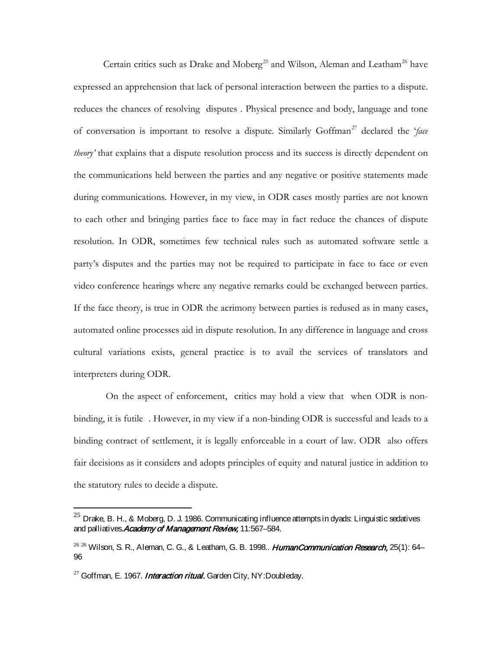Certain critics such as Drake and Moberg<sup>[25](#page-12-0)</sup> and Wilson, Aleman and Leatham<sup>[26](#page-12-1)</sup> have expressed an apprehension that lack of personal interaction between the parties to a dispute. reduces the chances of resolving disputes . Physical presence and body, language and tone of conversation is important to resolve a dispute. Similarly Goffman<sup>[27](#page-12-2)</sup> declared the '*face theory'* that explains that a dispute resolution process and its success is directly dependent on the communications held between the parties and any negative or positive statements made during communications. However, in my view, in ODR cases mostly parties are not known to each other and bringing parties face to face may in fact reduce the chances of dispute resolution. In ODR, sometimes few technical rules such as automated software settle a party's disputes and the parties may not be required to participate in face to face or even video conference hearings where any negative remarks could be exchanged between parties. If the face theory, is true in ODR the acrimony between parties is redused as in many cases, automated online processes aid in dispute resolution. In any difference in language and cross cultural variations exists, general practice is to avail the services of translators and interpreters during ODR.

On the aspect of enforcement, critics may hold a view that when ODR is nonbinding, it is futile . However, in my view if a non-binding ODR is successful and leads to a binding contract of settlement, it is legally enforceable in a court of law. ODR also offers fair decisions as it considers and adopts principles of equity and natural justice in addition to the statutory rules to decide a dispute.

<span id="page-12-0"></span> $^{25}$  Drake, B. H., & Moberg, D. J. 1986. Communicating influence attempts in dyads: Linguistic sedatives and palliatives. Academy of Management Review, 11:567-584.

<span id="page-12-1"></span> $^{26\,26}$  Wilson, S. R., Aleman, C. G., & Leatham, G. B. 1998.. HumanCommunication Research, 25(1): 64– 96

<span id="page-12-2"></span><sup>&</sup>lt;sup>27</sup> Goffman, E. 1967. *Interaction ritual.* Garden City, NY:Doubleday.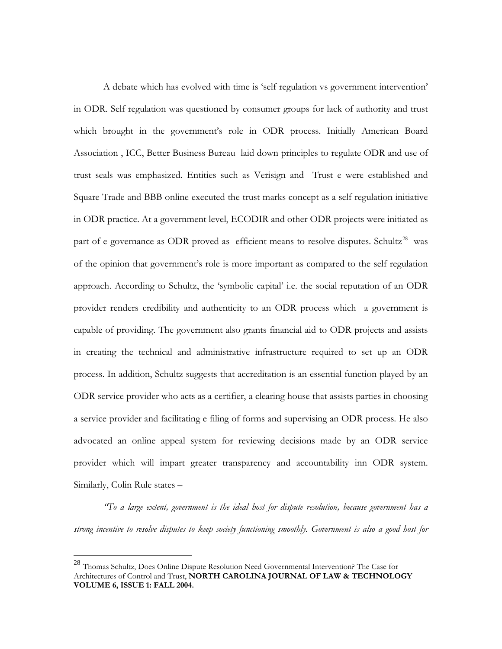A debate which has evolved with time is 'self regulation vs government intervention' in ODR. Self regulation was questioned by consumer groups for lack of authority and trust which brought in the government's role in ODR process. Initially American Board Association , ICC, Better Business Bureau laid down principles to regulate ODR and use of trust seals was emphasized. Entities such as Verisign and Trust e were established and Square Trade and BBB online executed the trust marks concept as a self regulation initiative in ODR practice. At a government level, ECODIR and other ODR projects were initiated as part of e governance as ODR proved as efficient means to resolve disputes. Schultz<sup>[28](#page-13-0)</sup> was of the opinion that government's role is more important as compared to the self regulation approach. According to Schultz, the 'symbolic capital' i.e. the social reputation of an ODR provider renders credibility and authenticity to an ODR process which a government is capable of providing. The government also grants financial aid to ODR projects and assists in creating the technical and administrative infrastructure required to set up an ODR process. In addition, Schultz suggests that accreditation is an essential function played by an ODR service provider who acts as a certifier, a clearing house that assists parties in choosing a service provider and facilitating e filing of forms and supervising an ODR process. He also advocated an online appeal system for reviewing decisions made by an ODR service provider which will impart greater transparency and accountability inn ODR system. Similarly, Colin Rule states –

*"To a large extent, government is the ideal host for dispute resolution, because government has a strong incentive to resolve disputes to keep society functioning smoothly. Government is also a good host for* 

<span id="page-13-0"></span> <sup>28</sup> Thomas Schultz, Does Online Dispute Resolution Need Governmental Intervention? The Case for Architectures of Control and Trust, **NORTH CAROLINA JOURNAL OF LAW & TECHNOLOGY VOLUME 6, ISSUE 1: FALL 2004.**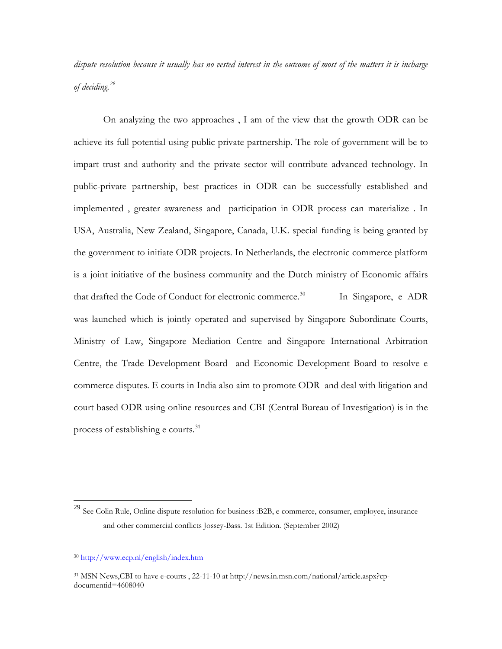*dispute resolution because it usually has no vested interest in the outcome of most of the matters it is incharge of deciding.[29](#page-14-0)*

On analyzing the two approaches , I am of the view that the growth ODR can be achieve its full potential using public private partnership. The role of government will be to impart trust and authority and the private sector will contribute advanced technology. In public-private partnership, best practices in ODR can be successfully established and implemented , greater awareness and participation in ODR process can materialize . In USA, Australia, New Zealand, Singapore, Canada, U.K. special funding is being granted by the government to initiate ODR projects. In Netherlands, the electronic commerce platform is a joint initiative of the business community and the Dutch ministry of Economic affairs that drafted the Code of Conduct for electronic commerce.<sup>[30](#page-14-1)</sup> In Singapore, e ADR was launched which is jointly operated and supervised by Singapore Subordinate Courts, Ministry of Law, Singapore Mediation Centre and Singapore International Arbitration Centre, the Trade Development Board and Economic Development Board to resolve e commerce disputes. E courts in India also aim to promote ODR and deal with litigation and court based ODR using online resources and CBI (Central Bureau of Investigation) is in the process of establishing e courts.<sup>[31](#page-14-2)</sup>

<span id="page-14-0"></span><sup>&</sup>lt;sup>29</sup> See Colin Rule, Online dispute resolution for business :B2B, e commerce, consumer, employee, insurance and other commercial conflicts Jossey-Bass. 1st Edition. (September 2002)

<span id="page-14-1"></span><sup>30</sup> <http://www.ecp.nl/english/index.htm>

<span id="page-14-2"></span><sup>31</sup> MSN News,CBI to have e-courts , 22-11-10 at http://news.in.msn.com/national/article.aspx?cpdocumentid=4608040